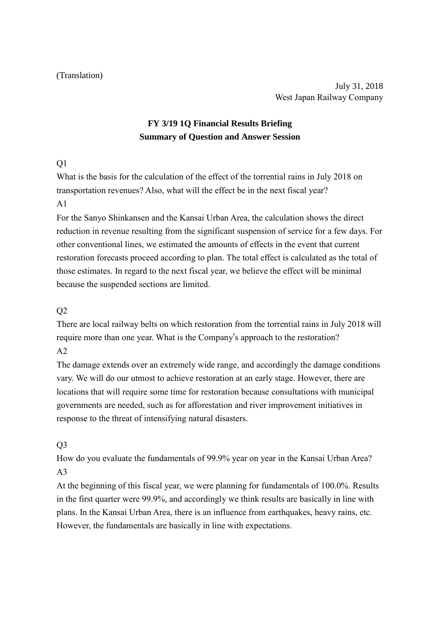#### (Translation)

July 31, 2018 West Japan Railway Company

# **FY 3/19 1Q Financial Results Briefing Summary of Question and Answer Session**

#### $O<sub>1</sub>$

What is the basis for the calculation of the effect of the torrential rains in July 2018 on transportation revenues? Also, what will the effect be in the next fiscal year?  $A<sub>1</sub>$ 

For the Sanyo Shinkansen and the Kansai Urban Area, the calculation shows the direct reduction in revenue resulting from the significant suspension of service for a few days. For other conventional lines, we estimated the amounts of effects in the event that current restoration forecasts proceed according to plan. The total effect is calculated as the total of those estimates. In regard to the next fiscal year, we believe the effect will be minimal because the suspended sections are limited.

### Q2

There are local railway belts on which restoration from the torrential rains in July 2018 will require more than one year. What is the Company's approach to the restoration?  $A2$ 

The damage extends over an extremely wide range, and accordingly the damage conditions vary. We will do our utmost to achieve restoration at an early stage. However, there are locations that will require some time for restoration because consultations with municipal governments are needed, such as for afforestation and river improvement initiatives in response to the threat of intensifying natural disasters.

## $O<sub>3</sub>$

How do you evaluate the fundamentals of 99.9% year on year in the Kansai Urban Area? A3

At the beginning of this fiscal year, we were planning for fundamentals of 100.0%. Results in the first quarter were 99.9%, and accordingly we think results are basically in line with plans. In the Kansai Urban Area, there is an influence from earthquakes, heavy rains, etc. However, the fundamentals are basically in line with expectations.